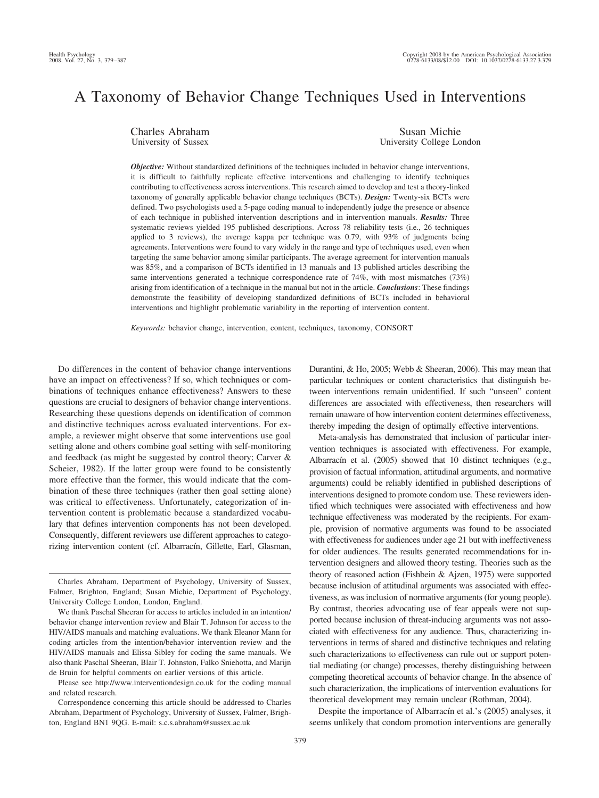# A Taxonomy of Behavior Change Techniques Used in Interventions

Charles Abraham University of Sussex

Susan Michie University College London

*Objective:* Without standardized definitions of the techniques included in behavior change interventions, it is difficult to faithfully replicate effective interventions and challenging to identify techniques contributing to effectiveness across interventions. This research aimed to develop and test a theory-linked taxonomy of generally applicable behavior change techniques (BCTs). *Design:* Twenty-six BCTs were defined. Two psychologists used a 5-page coding manual to independently judge the presence or absence of each technique in published intervention descriptions and in intervention manuals. *Results:* Three systematic reviews yielded 195 published descriptions. Across 78 reliability tests (i.e., 26 techniques applied to 3 reviews), the average kappa per technique was 0.79, with 93% of judgments being agreements. Interventions were found to vary widely in the range and type of techniques used, even when targeting the same behavior among similar participants. The average agreement for intervention manuals was 85%, and a comparison of BCTs identified in 13 manuals and 13 published articles describing the same interventions generated a technique correspondence rate of 74%, with most mismatches (73%) arising from identification of a technique in the manual but not in the article. *Conclusions*: These findings demonstrate the feasibility of developing standardized definitions of BCTs included in behavioral interventions and highlight problematic variability in the reporting of intervention content.

*Keywords:* behavior change, intervention, content, techniques, taxonomy, CONSORT

Do differences in the content of behavior change interventions have an impact on effectiveness? If so, which techniques or combinations of techniques enhance effectiveness? Answers to these questions are crucial to designers of behavior change interventions. Researching these questions depends on identification of common and distinctive techniques across evaluated interventions. For example, a reviewer might observe that some interventions use goal setting alone and others combine goal setting with self-monitoring and feedback (as might be suggested by control theory; Carver & Scheier, 1982). If the latter group were found to be consistently more effective than the former, this would indicate that the combination of these three techniques (rather then goal setting alone) was critical to effectiveness. Unfortunately, categorization of intervention content is problematic because a standardized vocabulary that defines intervention components has not been developed. Consequently, different reviewers use different approaches to categorizing intervention content (cf. Albarracín, Gillette, Earl, Glasman,

Please see http://www.interventiondesign.co.uk for the coding manual and related research.

Correspondence concerning this article should be addressed to Charles Abraham, Department of Psychology, University of Sussex, Falmer, Brighton, England BN1 9QG. E-mail: s.c.s.abraham@sussex.ac.uk

Durantini, & Ho, 2005; Webb & Sheeran, 2006). This may mean that particular techniques or content characteristics that distinguish between interventions remain unidentified. If such "unseen" content differences are associated with effectiveness, then researchers will remain unaware of how intervention content determines effectiveness, thereby impeding the design of optimally effective interventions.

Meta-analysis has demonstrated that inclusion of particular intervention techniques is associated with effectiveness. For example, Albarracín et al.  $(2005)$  showed that 10 distinct techniques (e.g., provision of factual information, attitudinal arguments, and normative arguments) could be reliably identified in published descriptions of interventions designed to promote condom use. These reviewers identified which techniques were associated with effectiveness and how technique effectiveness was moderated by the recipients. For example, provision of normative arguments was found to be associated with effectiveness for audiences under age 21 but with ineffectiveness for older audiences. The results generated recommendations for intervention designers and allowed theory testing. Theories such as the theory of reasoned action (Fishbein & Ajzen, 1975) were supported because inclusion of attitudinal arguments was associated with effectiveness, as was inclusion of normative arguments (for young people). By contrast, theories advocating use of fear appeals were not supported because inclusion of threat-inducing arguments was not associated with effectiveness for any audience. Thus, characterizing interventions in terms of shared and distinctive techniques and relating such characterizations to effectiveness can rule out or support potential mediating (or change) processes, thereby distinguishing between competing theoretical accounts of behavior change. In the absence of such characterization, the implications of intervention evaluations for theoretical development may remain unclear (Rothman, 2004).

Despite the importance of Albarracín et al.'s (2005) analyses, it seems unlikely that condom promotion interventions are generally

Charles Abraham, Department of Psychology, University of Sussex, Falmer, Brighton, England; Susan Michie, Department of Psychology, University College London, London, England.

We thank Paschal Sheeran for access to articles included in an intention/ behavior change intervention review and Blair T. Johnson for access to the HIV/AIDS manuals and matching evaluations. We thank Eleanor Mann for coding articles from the intention/behavior intervention review and the HIV/AIDS manuals and Elissa Sibley for coding the same manuals. We also thank Paschal Sheeran, Blair T. Johnston, Falko Sniehotta, and Marijn de Bruin for helpful comments on earlier versions of this article.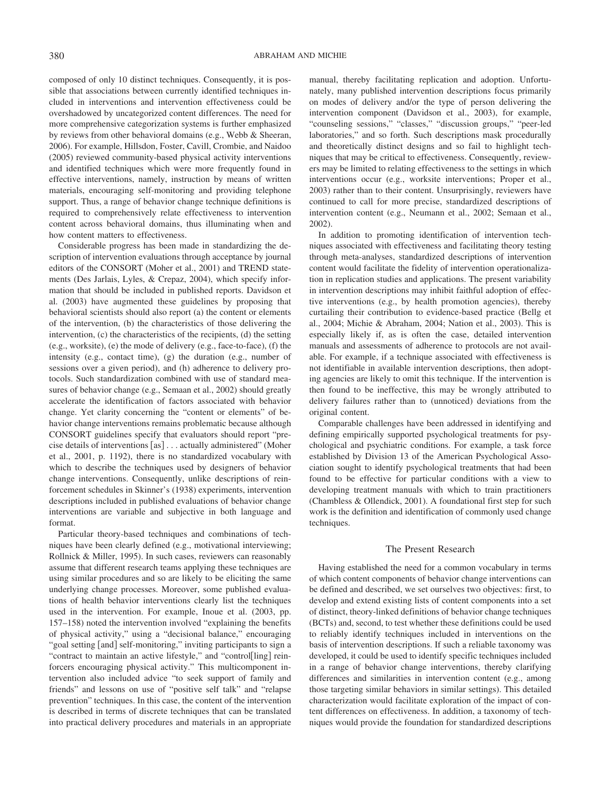composed of only 10 distinct techniques. Consequently, it is possible that associations between currently identified techniques included in interventions and intervention effectiveness could be overshadowed by uncategorized content differences. The need for more comprehensive categorization systems is further emphasized by reviews from other behavioral domains (e.g., Webb & Sheeran, 2006). For example, Hillsdon, Foster, Cavill, Crombie, and Naidoo (2005) reviewed community-based physical activity interventions and identified techniques which were more frequently found in effective interventions, namely, instruction by means of written materials, encouraging self-monitoring and providing telephone support. Thus, a range of behavior change technique definitions is required to comprehensively relate effectiveness to intervention content across behavioral domains, thus illuminating when and how content matters to effectiveness.

Considerable progress has been made in standardizing the description of intervention evaluations through acceptance by journal editors of the CONSORT (Moher et al., 2001) and TREND statements (Des Jarlais, Lyles, & Crepaz, 2004), which specify information that should be included in published reports. Davidson et al. (2003) have augmented these guidelines by proposing that behavioral scientists should also report (a) the content or elements of the intervention, (b) the characteristics of those delivering the intervention, (c) the characteristics of the recipients, (d) the setting (e.g., worksite), (e) the mode of delivery (e.g., face-to-face), (f) the intensity (e.g., contact time), (g) the duration (e.g., number of sessions over a given period), and (h) adherence to delivery protocols. Such standardization combined with use of standard measures of behavior change (e.g., Semaan et al., 2002) should greatly accelerate the identification of factors associated with behavior change. Yet clarity concerning the "content or elements" of behavior change interventions remains problematic because although CONSORT guidelines specify that evaluators should report "precise details of interventions [as]... actually administered" (Moher et al., 2001, p. 1192), there is no standardized vocabulary with which to describe the techniques used by designers of behavior change interventions. Consequently, unlike descriptions of reinforcement schedules in Skinner's (1938) experiments, intervention descriptions included in published evaluations of behavior change interventions are variable and subjective in both language and format.

Particular theory-based techniques and combinations of techniques have been clearly defined (e.g., motivational interviewing; Rollnick & Miller, 1995). In such cases, reviewers can reasonably assume that different research teams applying these techniques are using similar procedures and so are likely to be eliciting the same underlying change processes. Moreover, some published evaluations of health behavior interventions clearly list the techniques used in the intervention. For example, Inoue et al. (2003, pp. 157–158) noted the intervention involved "explaining the benefits of physical activity," using a "decisional balance," encouraging "goal setting [and] self-monitoring," inviting participants to sign a "contract to maintain an active lifestyle," and "control[ling] reinforcers encouraging physical activity." This multicomponent intervention also included advice "to seek support of family and friends" and lessons on use of "positive self talk" and "relapse prevention" techniques. In this case, the content of the intervention is described in terms of discrete techniques that can be translated into practical delivery procedures and materials in an appropriate

manual, thereby facilitating replication and adoption. Unfortunately, many published intervention descriptions focus primarily on modes of delivery and/or the type of person delivering the intervention component (Davidson et al., 2003), for example, "counseling sessions," "classes," "discussion groups," "peer-led laboratories," and so forth. Such descriptions mask procedurally and theoretically distinct designs and so fail to highlight techniques that may be critical to effectiveness. Consequently, reviewers may be limited to relating effectiveness to the settings in which interventions occur (e.g., worksite interventions; Proper et al., 2003) rather than to their content. Unsurprisingly, reviewers have continued to call for more precise, standardized descriptions of intervention content (e.g., Neumann et al., 2002; Semaan et al., 2002).

In addition to promoting identification of intervention techniques associated with effectiveness and facilitating theory testing through meta-analyses, standardized descriptions of intervention content would facilitate the fidelity of intervention operationalization in replication studies and applications. The present variability in intervention descriptions may inhibit faithful adoption of effective interventions (e.g., by health promotion agencies), thereby curtailing their contribution to evidence-based practice (Bellg et al., 2004; Michie & Abraham, 2004; Nation et al., 2003). This is especially likely if, as is often the case, detailed intervention manuals and assessments of adherence to protocols are not available. For example, if a technique associated with effectiveness is not identifiable in available intervention descriptions, then adopting agencies are likely to omit this technique. If the intervention is then found to be ineffective, this may be wrongly attributed to delivery failures rather than to (unnoticed) deviations from the original content.

Comparable challenges have been addressed in identifying and defining empirically supported psychological treatments for psychological and psychiatric conditions. For example, a task force established by Division 13 of the American Psychological Association sought to identify psychological treatments that had been found to be effective for particular conditions with a view to developing treatment manuals with which to train practitioners (Chambless & Ollendick, 2001). A foundational first step for such work is the definition and identification of commonly used change techniques.

## The Present Research

Having established the need for a common vocabulary in terms of which content components of behavior change interventions can be defined and described, we set ourselves two objectives: first, to develop and extend existing lists of content components into a set of distinct, theory-linked definitions of behavior change techniques (BCTs) and, second, to test whether these definitions could be used to reliably identify techniques included in interventions on the basis of intervention descriptions. If such a reliable taxonomy was developed, it could be used to identify specific techniques included in a range of behavior change interventions, thereby clarifying differences and similarities in intervention content (e.g., among those targeting similar behaviors in similar settings). This detailed characterization would facilitate exploration of the impact of content differences on effectiveness. In addition, a taxonomy of techniques would provide the foundation for standardized descriptions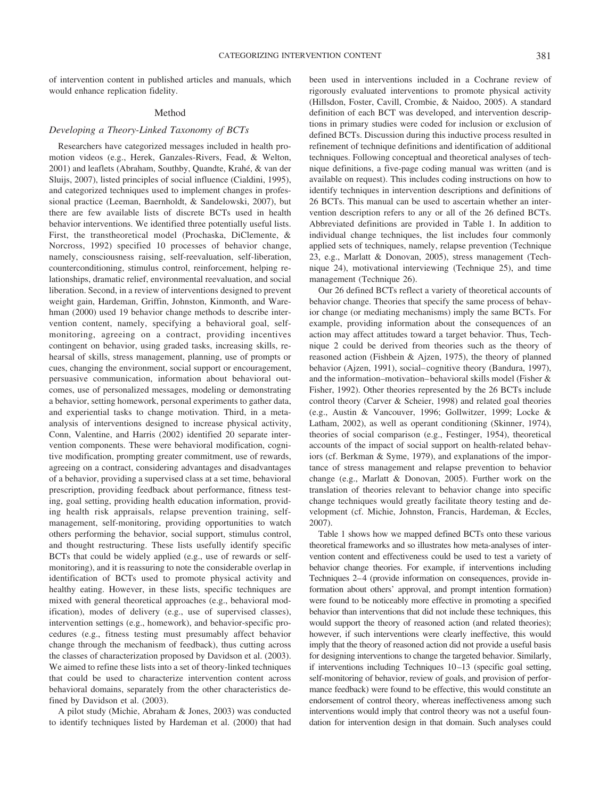of intervention content in published articles and manuals, which would enhance replication fidelity.

#### Method

#### *Developing a Theory-Linked Taxonomy of BCTs*

Researchers have categorized messages included in health promotion videos (e.g., Herek, Ganzales-Rivers, Fead, & Welton, 2001) and leaflets (Abraham, Southby, Quandte, Krahé, & van der Sluijs, 2007), listed principles of social influence (Cialdini, 1995), and categorized techniques used to implement changes in professional practice (Leeman, Baernholdt, & Sandelowski, 2007), but there are few available lists of discrete BCTs used in health behavior interventions. We identified three potentially useful lists. First, the transtheoretical model (Prochaska, DiClemente, & Norcross, 1992) specified 10 processes of behavior change, namely, consciousness raising, self-reevaluation, self-liberation, counterconditioning, stimulus control, reinforcement, helping relationships, dramatic relief, environmental reevaluation, and social liberation. Second, in a review of interventions designed to prevent weight gain, Hardeman, Griffin, Johnston, Kinmonth, and Warehman (2000) used 19 behavior change methods to describe intervention content, namely, specifying a behavioral goal, selfmonitoring, agreeing on a contract, providing incentives contingent on behavior, using graded tasks, increasing skills, rehearsal of skills, stress management, planning, use of prompts or cues, changing the environment, social support or encouragement, persuasive communication, information about behavioral outcomes, use of personalized messages, modeling or demonstrating a behavior, setting homework, personal experiments to gather data, and experiential tasks to change motivation. Third, in a metaanalysis of interventions designed to increase physical activity, Conn, Valentine, and Harris (2002) identified 20 separate intervention components. These were behavioral modification, cognitive modification, prompting greater commitment, use of rewards, agreeing on a contract, considering advantages and disadvantages of a behavior, providing a supervised class at a set time, behavioral prescription, providing feedback about performance, fitness testing, goal setting, providing health education information, providing health risk appraisals, relapse prevention training, selfmanagement, self-monitoring, providing opportunities to watch others performing the behavior, social support, stimulus control, and thought restructuring. These lists usefully identify specific BCTs that could be widely applied (e.g., use of rewards or selfmonitoring), and it is reassuring to note the considerable overlap in identification of BCTs used to promote physical activity and healthy eating. However, in these lists, specific techniques are mixed with general theoretical approaches (e.g., behavioral modification), modes of delivery (e.g., use of supervised classes), intervention settings (e.g., homework), and behavior-specific procedures (e.g., fitness testing must presumably affect behavior change through the mechanism of feedback), thus cutting across the classes of characterization proposed by Davidson et al. (2003). We aimed to refine these lists into a set of theory-linked techniques that could be used to characterize intervention content across behavioral domains, separately from the other characteristics defined by Davidson et al. (2003).

A pilot study (Michie, Abraham & Jones, 2003) was conducted to identify techniques listed by Hardeman et al. (2000) that had been used in interventions included in a Cochrane review of rigorously evaluated interventions to promote physical activity (Hillsdon, Foster, Cavill, Crombie, & Naidoo, 2005). A standard definition of each BCT was developed, and intervention descriptions in primary studies were coded for inclusion or exclusion of defined BCTs. Discussion during this inductive process resulted in refinement of technique definitions and identification of additional techniques. Following conceptual and theoretical analyses of technique definitions, a five-page coding manual was written (and is available on request). This includes coding instructions on how to identify techniques in intervention descriptions and definitions of 26 BCTs. This manual can be used to ascertain whether an intervention description refers to any or all of the 26 defined BCTs. Abbreviated definitions are provided in Table 1. In addition to individual change techniques, the list includes four commonly applied sets of techniques, namely, relapse prevention (Technique 23, e.g., Marlatt & Donovan, 2005), stress management (Technique 24), motivational interviewing (Technique 25), and time management (Technique 26).

Our 26 defined BCTs reflect a variety of theoretical accounts of behavior change. Theories that specify the same process of behavior change (or mediating mechanisms) imply the same BCTs. For example, providing information about the consequences of an action may affect attitudes toward a target behavior. Thus, Technique 2 could be derived from theories such as the theory of reasoned action (Fishbein & Ajzen, 1975), the theory of planned behavior (Ajzen, 1991), social– cognitive theory (Bandura, 1997), and the information–motivation– behavioral skills model (Fisher & Fisher, 1992). Other theories represented by the 26 BCTs include control theory (Carver & Scheier, 1998) and related goal theories (e.g., Austin & Vancouver, 1996; Gollwitzer, 1999; Locke & Latham, 2002), as well as operant conditioning (Skinner, 1974), theories of social comparison (e.g., Festinger, 1954), theoretical accounts of the impact of social support on health-related behaviors (cf. Berkman & Syme, 1979), and explanations of the importance of stress management and relapse prevention to behavior change (e.g., Marlatt & Donovan, 2005). Further work on the translation of theories relevant to behavior change into specific change techniques would greatly facilitate theory testing and development (cf. Michie, Johnston, Francis, Hardeman, & Eccles, 2007).

Table 1 shows how we mapped defined BCTs onto these various theoretical frameworks and so illustrates how meta-analyses of intervention content and effectiveness could be used to test a variety of behavior change theories. For example, if interventions including Techniques 2–4 (provide information on consequences, provide information about others' approval, and prompt intention formation) were found to be noticeably more effective in promoting a specified behavior than interventions that did not include these techniques, this would support the theory of reasoned action (and related theories); however, if such interventions were clearly ineffective, this would imply that the theory of reasoned action did not provide a useful basis for designing interventions to change the targeted behavior. Similarly, if interventions including Techniques 10–13 (specific goal setting, self-monitoring of behavior, review of goals, and provision of performance feedback) were found to be effective, this would constitute an endorsement of control theory, whereas ineffectiveness among such interventions would imply that control theory was not a useful foundation for intervention design in that domain. Such analyses could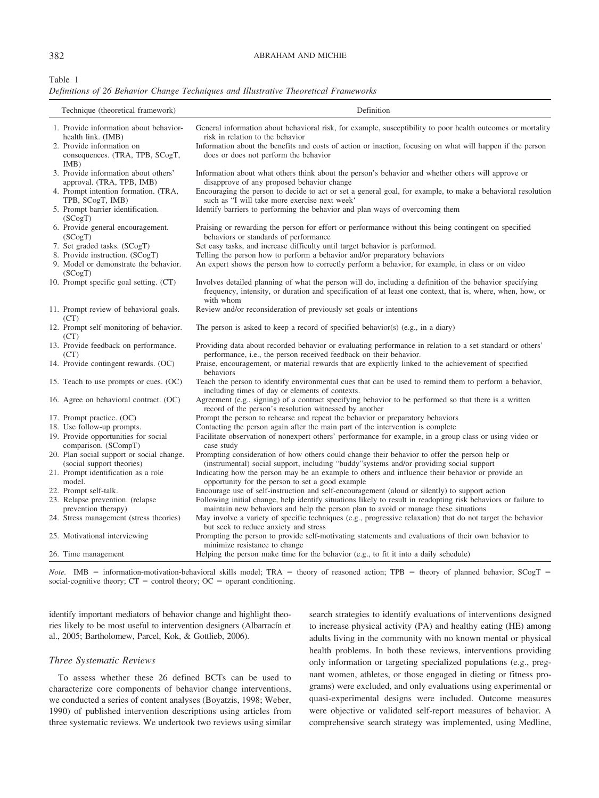#### 382 ABRAHAM AND MICHIE

## Table 1

|  |  |  |  |  |  |  |  | Definitions of 26 Behavior Change Techniques and Illustrative Theoretical Frameworks |
|--|--|--|--|--|--|--|--|--------------------------------------------------------------------------------------|
|--|--|--|--|--|--|--|--|--------------------------------------------------------------------------------------|

| General information about behavioral risk, for example, susceptibility to poor health outcomes or mortality<br>1. Provide information about behavior-<br>health link. (IMB)<br>risk in relation to the behavior<br>2. Provide information on<br>Information about the benefits and costs of action or inaction, focusing on what will happen if the person<br>consequences. (TRA, TPB, SCogT,<br>does or does not perform the behavior<br>IMB)<br>3. Provide information about others'<br>Information about what others think about the person's behavior and whether others will approve or<br>disapprove of any proposed behavior change<br>approval. (TRA, TPB, IMB)<br>Encouraging the person to decide to act or set a general goal, for example, to make a behavioral resolution<br>4. Prompt intention formation. (TRA,<br>such as "I will take more exercise next week"<br>TPB, SCogT, IMB)<br>5. Prompt barrier identification.<br>Identify barriers to performing the behavior and plan ways of overcoming them<br>(SCogT)<br>6. Provide general encouragement.<br>Praising or rewarding the person for effort or performance without this being contingent on specified |  |
|------------------------------------------------------------------------------------------------------------------------------------------------------------------------------------------------------------------------------------------------------------------------------------------------------------------------------------------------------------------------------------------------------------------------------------------------------------------------------------------------------------------------------------------------------------------------------------------------------------------------------------------------------------------------------------------------------------------------------------------------------------------------------------------------------------------------------------------------------------------------------------------------------------------------------------------------------------------------------------------------------------------------------------------------------------------------------------------------------------------------------------------------------------------------------------|--|
|                                                                                                                                                                                                                                                                                                                                                                                                                                                                                                                                                                                                                                                                                                                                                                                                                                                                                                                                                                                                                                                                                                                                                                                    |  |
|                                                                                                                                                                                                                                                                                                                                                                                                                                                                                                                                                                                                                                                                                                                                                                                                                                                                                                                                                                                                                                                                                                                                                                                    |  |
|                                                                                                                                                                                                                                                                                                                                                                                                                                                                                                                                                                                                                                                                                                                                                                                                                                                                                                                                                                                                                                                                                                                                                                                    |  |
|                                                                                                                                                                                                                                                                                                                                                                                                                                                                                                                                                                                                                                                                                                                                                                                                                                                                                                                                                                                                                                                                                                                                                                                    |  |
|                                                                                                                                                                                                                                                                                                                                                                                                                                                                                                                                                                                                                                                                                                                                                                                                                                                                                                                                                                                                                                                                                                                                                                                    |  |
| (SCogT)<br>behaviors or standards of performance                                                                                                                                                                                                                                                                                                                                                                                                                                                                                                                                                                                                                                                                                                                                                                                                                                                                                                                                                                                                                                                                                                                                   |  |
| 7. Set graded tasks. (SCogT)<br>Set easy tasks, and increase difficulty until target behavior is performed.                                                                                                                                                                                                                                                                                                                                                                                                                                                                                                                                                                                                                                                                                                                                                                                                                                                                                                                                                                                                                                                                        |  |
| 8. Provide instruction. (SCogT)<br>Telling the person how to perform a behavior and/or preparatory behaviors                                                                                                                                                                                                                                                                                                                                                                                                                                                                                                                                                                                                                                                                                                                                                                                                                                                                                                                                                                                                                                                                       |  |
| 9. Model or demonstrate the behavior.<br>An expert shows the person how to correctly perform a behavior, for example, in class or on video<br>(SCogT)                                                                                                                                                                                                                                                                                                                                                                                                                                                                                                                                                                                                                                                                                                                                                                                                                                                                                                                                                                                                                              |  |
| 10. Prompt specific goal setting. (CT)<br>Involves detailed planning of what the person will do, including a definition of the behavior specifying<br>frequency, intensity, or duration and specification of at least one context, that is, where, when, how, or<br>with whom                                                                                                                                                                                                                                                                                                                                                                                                                                                                                                                                                                                                                                                                                                                                                                                                                                                                                                      |  |
| 11. Prompt review of behavioral goals.<br>Review and/or reconsideration of previously set goals or intentions<br>(CT)                                                                                                                                                                                                                                                                                                                                                                                                                                                                                                                                                                                                                                                                                                                                                                                                                                                                                                                                                                                                                                                              |  |
| 12. Prompt self-monitoring of behavior.<br>The person is asked to keep a record of specified behavior(s) (e.g., in a diary)<br>(CT)                                                                                                                                                                                                                                                                                                                                                                                                                                                                                                                                                                                                                                                                                                                                                                                                                                                                                                                                                                                                                                                |  |
| 13. Provide feedback on performance.<br>Providing data about recorded behavior or evaluating performance in relation to a set standard or others'<br>performance, <i>i.e.</i> , the person received feedback on their behavior.<br>(CT)                                                                                                                                                                                                                                                                                                                                                                                                                                                                                                                                                                                                                                                                                                                                                                                                                                                                                                                                            |  |
| 14. Provide contingent rewards. (OC)<br>Praise, encouragement, or material rewards that are explicitly linked to the achievement of specified<br>behaviors                                                                                                                                                                                                                                                                                                                                                                                                                                                                                                                                                                                                                                                                                                                                                                                                                                                                                                                                                                                                                         |  |
| 15. Teach to use prompts or cues. (OC)<br>Teach the person to identify environmental cues that can be used to remind them to perform a behavior,<br>including times of day or elements of contexts.                                                                                                                                                                                                                                                                                                                                                                                                                                                                                                                                                                                                                                                                                                                                                                                                                                                                                                                                                                                |  |
| Agreement (e.g., signing) of a contract specifying behavior to be performed so that there is a written<br>16. Agree on behavioral contract. (OC)<br>record of the person's resolution witnessed by another                                                                                                                                                                                                                                                                                                                                                                                                                                                                                                                                                                                                                                                                                                                                                                                                                                                                                                                                                                         |  |
| Prompt the person to rehearse and repeat the behavior or preparatory behaviors<br>17. Prompt practice. (OC)                                                                                                                                                                                                                                                                                                                                                                                                                                                                                                                                                                                                                                                                                                                                                                                                                                                                                                                                                                                                                                                                        |  |
| 18. Use follow-up prompts.<br>Contacting the person again after the main part of the intervention is complete                                                                                                                                                                                                                                                                                                                                                                                                                                                                                                                                                                                                                                                                                                                                                                                                                                                                                                                                                                                                                                                                      |  |
| 19. Provide opportunities for social<br>Facilitate observation of nonexpert others' performance for example, in a group class or using video or<br>comparison. (SCompT)<br>case study                                                                                                                                                                                                                                                                                                                                                                                                                                                                                                                                                                                                                                                                                                                                                                                                                                                                                                                                                                                              |  |
| 20. Plan social support or social change.<br>Prompting consideration of how others could change their behavior to offer the person help or<br>(instrumental) social support, including "buddy"systems and/or providing social support<br>(social support theories)                                                                                                                                                                                                                                                                                                                                                                                                                                                                                                                                                                                                                                                                                                                                                                                                                                                                                                                 |  |
| 21. Prompt identification as a role<br>Indicating how the person may be an example to others and influence their behavior or provide an<br>model.<br>opportunity for the person to set a good example                                                                                                                                                                                                                                                                                                                                                                                                                                                                                                                                                                                                                                                                                                                                                                                                                                                                                                                                                                              |  |
| 22. Prompt self-talk.<br>Encourage use of self-instruction and self-encouragement (aloud or silently) to support action                                                                                                                                                                                                                                                                                                                                                                                                                                                                                                                                                                                                                                                                                                                                                                                                                                                                                                                                                                                                                                                            |  |
| 23. Relapse prevention. (relapse<br>Following initial change, help identify situations likely to result in readopting risk behaviors or failure to<br>maintain new behaviors and help the person plan to avoid or manage these situations<br>prevention therapy)                                                                                                                                                                                                                                                                                                                                                                                                                                                                                                                                                                                                                                                                                                                                                                                                                                                                                                                   |  |
| May involve a variety of specific techniques (e.g., progressive relaxation) that do not target the behavior<br>24. Stress management (stress theories)<br>but seek to reduce anxiety and stress                                                                                                                                                                                                                                                                                                                                                                                                                                                                                                                                                                                                                                                                                                                                                                                                                                                                                                                                                                                    |  |
| Prompting the person to provide self-motivating statements and evaluations of their own behavior to<br>25. Motivational interviewing<br>minimize resistance to change                                                                                                                                                                                                                                                                                                                                                                                                                                                                                                                                                                                                                                                                                                                                                                                                                                                                                                                                                                                                              |  |
| Helping the person make time for the behavior $(e.g., to fit it into a daily schedule)$<br>26. Time management                                                                                                                                                                                                                                                                                                                                                                                                                                                                                                                                                                                                                                                                                                                                                                                                                                                                                                                                                                                                                                                                     |  |

*Note.* IMB = information-motivation-behavioral skills model; TRA = theory of reasoned action; TPB = theory of planned behavior;  $SCogT$  = social-cognitive theory;  $CT =$  control theory;  $OC =$  operant conditioning.

identify important mediators of behavior change and highlight theories likely to be most useful to intervention designers (Albarracín et al., 2005; Bartholomew, Parcel, Kok, & Gottlieb, 2006).

# *Three Systematic Reviews*

To assess whether these 26 defined BCTs can be used to characterize core components of behavior change interventions, we conducted a series of content analyses (Boyatzis, 1998; Weber, 1990) of published intervention descriptions using articles from three systematic reviews. We undertook two reviews using similar search strategies to identify evaluations of interventions designed to increase physical activity (PA) and healthy eating (HE) among adults living in the community with no known mental or physical health problems. In both these reviews, interventions providing only information or targeting specialized populations (e.g., pregnant women, athletes, or those engaged in dieting or fitness programs) were excluded, and only evaluations using experimental or quasi-experimental designs were included. Outcome measures were objective or validated self-report measures of behavior. A comprehensive search strategy was implemented, using Medline,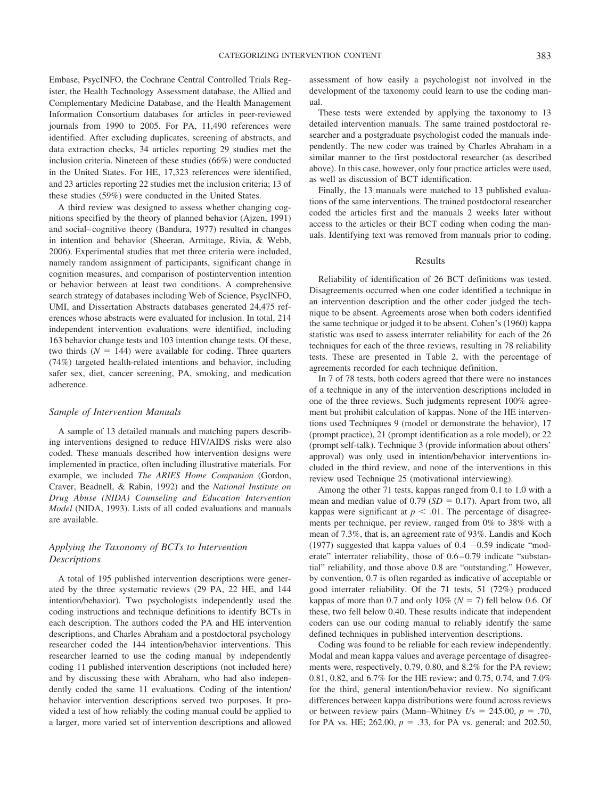Embase, PsycINFO, the Cochrane Central Controlled Trials Register, the Health Technology Assessment database, the Allied and Complementary Medicine Database, and the Health Management Information Consortium databases for articles in peer-reviewed journals from 1990 to 2005. For PA, 11,490 references were identified. After excluding duplicates, screening of abstracts, and data extraction checks, 34 articles reporting 29 studies met the inclusion criteria. Nineteen of these studies (66%) were conducted in the United States. For HE, 17,323 references were identified, and 23 articles reporting 22 studies met the inclusion criteria; 13 of these studies (59%) were conducted in the United States.

A third review was designed to assess whether changing cognitions specified by the theory of planned behavior (Ajzen, 1991) and social– cognitive theory (Bandura, 1977) resulted in changes in intention and behavior (Sheeran, Armitage, Rivia, & Webb, 2006). Experimental studies that met three criteria were included, namely random assignment of participants, significant change in cognition measures, and comparison of postintervention intention or behavior between at least two conditions. A comprehensive search strategy of databases including Web of Science, PsycINFO, UMI, and Dissertation Abstracts databases generated 24,475 references whose abstracts were evaluated for inclusion. In total, 214 independent intervention evaluations were identified, including 163 behavior change tests and 103 intention change tests. Of these, two thirds  $(N = 144)$  were available for coding. Three quarters (74%) targeted health-related intentions and behavior, including safer sex, diet, cancer screening, PA, smoking, and medication adherence.

#### *Sample of Intervention Manuals*

A sample of 13 detailed manuals and matching papers describing interventions designed to reduce HIV/AIDS risks were also coded. These manuals described how intervention designs were implemented in practice, often including illustrative materials. For example, we included *The ARIES Home Companion* (Gordon, Craver, Beadnell, & Rabin, 1992) and the *National Institute on Drug Abuse (NIDA) Counseling and Education Intervention Model* (NIDA, 1993). Lists of all coded evaluations and manuals are available.

# *Applying the Taxonomy of BCTs to Intervention Descriptions*

A total of 195 published intervention descriptions were generated by the three systematic reviews (29 PA, 22 HE, and 144 intention/behavior). Two psychologists independently used the coding instructions and technique definitions to identify BCTs in each description. The authors coded the PA and HE intervention descriptions, and Charles Abraham and a postdoctoral psychology researcher coded the 144 intention/behavior interventions. This researcher learned to use the coding manual by independently coding 11 published intervention descriptions (not included here) and by discussing these with Abraham, who had also independently coded the same 11 evaluations. Coding of the intention/ behavior intervention descriptions served two purposes. It provided a test of how reliably the coding manual could be applied to a larger, more varied set of intervention descriptions and allowed assessment of how easily a psychologist not involved in the development of the taxonomy could learn to use the coding manual.

These tests were extended by applying the taxonomy to 13 detailed intervention manuals. The same trained postdoctoral researcher and a postgraduate psychologist coded the manuals independently. The new coder was trained by Charles Abraham in a similar manner to the first postdoctoral researcher (as described above). In this case, however, only four practice articles were used, as well as discussion of BCT identification.

Finally, the 13 manuals were matched to 13 published evaluations of the same interventions. The trained postdoctoral researcher coded the articles first and the manuals 2 weeks later without access to the articles or their BCT coding when coding the manuals. Identifying text was removed from manuals prior to coding.

## Results

Reliability of identification of 26 BCT definitions was tested. Disagreements occurred when one coder identified a technique in an intervention description and the other coder judged the technique to be absent. Agreements arose when both coders identified the same technique or judged it to be absent. Cohen's (1960) kappa statistic was used to assess interrater reliability for each of the 26 techniques for each of the three reviews, resulting in 78 reliability tests. These are presented in Table 2, with the percentage of agreements recorded for each technique definition.

In 7 of 78 tests, both coders agreed that there were no instances of a technique in any of the intervention descriptions included in one of the three reviews. Such judgments represent 100% agreement but prohibit calculation of kappas. None of the HE interventions used Techniques 9 (model or demonstrate the behavior), 17 (prompt practice), 21 (prompt identification as a role model), or 22 (prompt self-talk). Technique 3 (provide information about others' approval) was only used in intention/behavior interventions included in the third review, and none of the interventions in this review used Technique 25 (motivational interviewing).

Among the other 71 tests, kappas ranged from 0.1 to 1.0 with a mean and median value of  $0.79$  ( $SD = 0.17$ ). Apart from two, all kappas were significant at  $p < .01$ . The percentage of disagreements per technique, per review, ranged from 0% to 38% with a mean of 7.3%, that is, an agreement rate of 93%. Landis and Koch (1977) suggested that kappa values of  $0.4 - 0.59$  indicate "moderate" interrater reliability, those of 0.6-0.79 indicate "substantial" reliability, and those above 0.8 are "outstanding." However, by convention, 0.7 is often regarded as indicative of acceptable or good interrater reliability. Of the 71 tests, 51 (72%) produced kappas of more than 0.7 and only  $10\%$  ( $N = 7$ ) fell below 0.6. Of these, two fell below 0.40. These results indicate that independent coders can use our coding manual to reliably identify the same defined techniques in published intervention descriptions.

Coding was found to be reliable for each review independently. Modal and mean kappa values and average percentage of disagreements were, respectively, 0.79, 0.80, and 8.2% for the PA review; 0.81, 0.82, and 6.7% for the HE review; and 0.75, 0.74, and 7.0% for the third, general intention/behavior review. No significant differences between kappa distributions were found across reviews or between review pairs (Mann–Whitney  $Us = 245.00, p = .70,$ for PA vs. HE; 262.00,  $p = .33$ , for PA vs. general; and 202.50,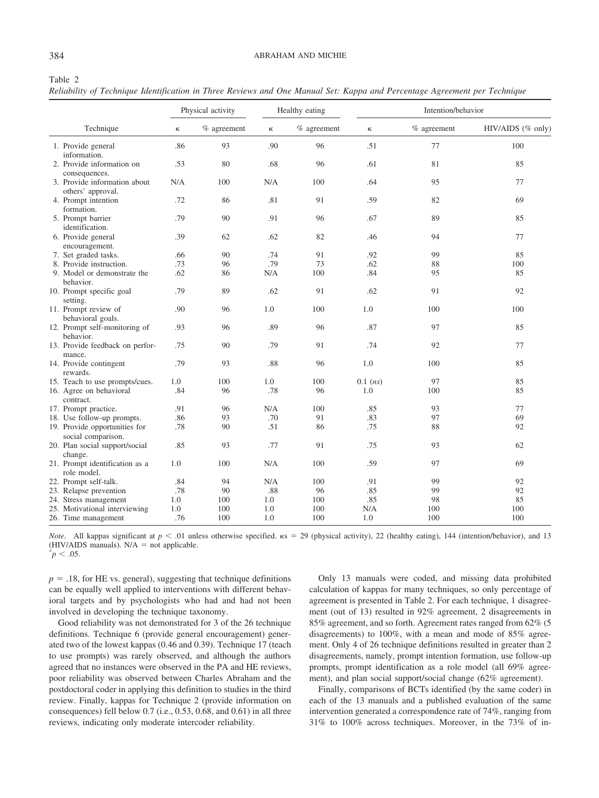#### 384 ABRAHAM AND MICHIE

#### Table 2

*Reliability of Technique Identification in Three Reviews and One Manual Set: Kappa and Percentage Agreement per Technique*

|  |                                                     | Physical activity |               | Healthy eating |             | Intention/behavior |               |                   |
|--|-----------------------------------------------------|-------------------|---------------|----------------|-------------|--------------------|---------------|-------------------|
|  | Technique                                           | κ                 | $%$ agreement | к              | % agreement | к                  | $%$ agreement | HIV/AIDS (% only) |
|  | 1. Provide general<br>information.                  | .86               | 93            | .90            | 96          | .51                | 77            | 100               |
|  | 2. Provide information on<br>consequences.          | .53               | 80            | .68            | 96          | .61                | 81            | 85                |
|  | 3. Provide information about<br>others' approval.   | N/A               | 100           | N/A            | 100         | .64                | 95            | 77                |
|  | 4. Prompt intention<br>formation.                   | .72               | 86            | .81            | 91          | .59                | 82            | 69                |
|  | 5. Prompt barrier<br>identification.                | .79               | 90            | .91            | 96          | .67                | 89            | 85                |
|  | 6. Provide general<br>encouragement.                | .39               | 62            | .62            | 82          | .46                | 94            | 77                |
|  | 7. Set graded tasks.                                | .66               | 90            | .74            | 91          | .92                | 99            | 85                |
|  | 8. Provide instruction.                             | .73               | 96            | .79            | 73          | .62                | 88            | 100               |
|  | 9. Model or demonstrate the<br>behavior.            | .62               | 86            | N/A            | 100         | .84                | 95            | 85                |
|  | 10. Prompt specific goal<br>setting.                | .79               | 89            | .62            | 91          | .62                | 91            | 92                |
|  | 11. Prompt review of<br>behavioral goals.           | .90               | 96            | 1.0            | 100         | 1.0                | 100           | 100               |
|  | 12. Prompt self-monitoring of<br>behavior.          | .93               | 96            | .89            | 96          | .87                | 97            | 85                |
|  | 13. Provide feedback on perfor-<br>mance.           | .75               | 90            | .79            | 91          | .74                | 92            | 77                |
|  | 14. Provide contingent<br>rewards.                  | .79               | 93            | .88            | 96          | 1.0                | 100           | 85                |
|  | 15. Teach to use prompts/cues.                      | 1.0               | 100           | 1.0            | 100         | $0.1$ $(ns)$       | 97            | 85                |
|  | 16. Agree on behavioral<br>contract.                | .84               | 96            | .78            | 96          | 1.0                | 100           | 85                |
|  | 17. Prompt practice.                                | .91               | 96            | N/A            | 100         | .85                | 93            | 77                |
|  | 18. Use follow-up prompts.                          | .86               | 93            | .70            | 91          | .83                | 97            | 69                |
|  | 19. Provide opportunities for<br>social comparison. | .78               | 90            | .51            | 86          | .75                | 88            | 92                |
|  | 20. Plan social support/social<br>change.           | .85               | 93            | .77            | 91          | .75                | 93            | 62                |
|  | 21. Prompt identification as a<br>role model.       | 1.0               | 100           | N/A            | 100         | .59                | 97            | 69                |
|  | 22. Prompt self-talk.                               | .84               | 94            | N/A            | 100         | .91                | 99            | 92                |
|  | 23. Relapse prevention                              | .78               | 90            | .88            | 96          | .85                | 99            | 92                |
|  | 24. Stress management                               | 1.0               | 100           | 1.0            | 100         | .85                | 98            | 85                |
|  | 25. Motivational interviewing                       | 1.0               | 100           | 1.0            | 100         | N/A                | 100           | 100               |
|  | 26. Time management                                 | .76               | 100           | 1.0            | 100         | 1.0                | 100           | 100               |

*Note.* All kappas significant at  $p < .01$  unless otherwise specified.  $\kappa s = 29$  (physical activity), 22 (healthy eating), 144 (intention/behavior), and 13 (HIV/AIDS manuals).  $N/A$  = not applicable.

 $\gamma p < .05$ .

 $p = .18$ , for HE vs. general), suggesting that technique definitions can be equally well applied to interventions with different behavioral targets and by psychologists who had and had not been involved in developing the technique taxonomy.

Good reliability was not demonstrated for 3 of the 26 technique definitions. Technique 6 (provide general encouragement) generated two of the lowest kappas (0.46 and 0.39). Technique 17 (teach to use prompts) was rarely observed, and although the authors agreed that no instances were observed in the PA and HE reviews, poor reliability was observed between Charles Abraham and the postdoctoral coder in applying this definition to studies in the third review. Finally, kappas for Technique 2 (provide information on consequences) fell below 0.7 (i.e., 0.53, 0.68, and 0.61) in all three reviews, indicating only moderate intercoder reliability.

Only 13 manuals were coded, and missing data prohibited calculation of kappas for many techniques, so only percentage of agreement is presented in Table 2. For each technique, 1 disagreement (out of 13) resulted in 92% agreement, 2 disagreements in 85% agreement, and so forth. Agreement rates ranged from 62% (5 disagreements) to 100%, with a mean and mode of 85% agreement. Only 4 of 26 technique definitions resulted in greater than 2 disagreements, namely, prompt intention formation, use follow-up prompts, prompt identification as a role model (all 69% agreement), and plan social support/social change (62% agreement).

Finally, comparisons of BCTs identified (by the same coder) in each of the 13 manuals and a published evaluation of the same intervention generated a correspondence rate of 74%, ranging from 31% to 100% across techniques. Moreover, in the 73% of in-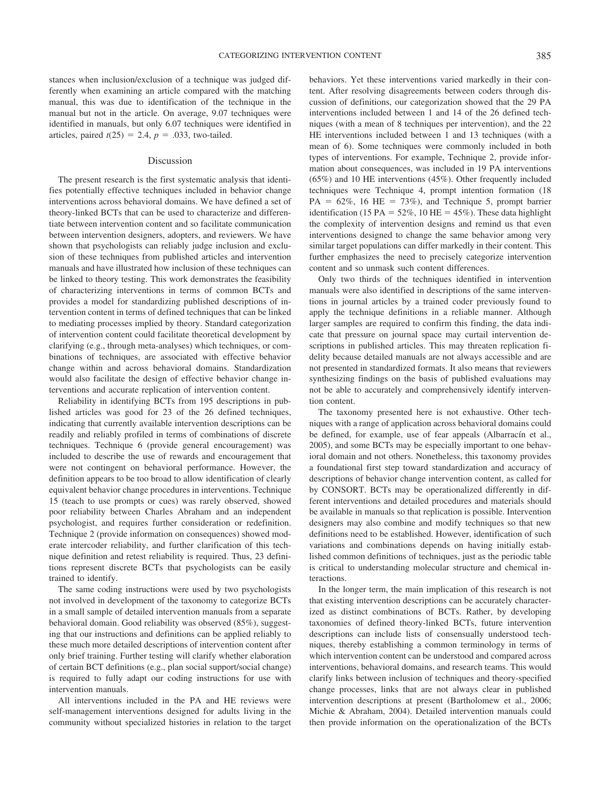stances when inclusion/exclusion of a technique was judged differently when examining an article compared with the matching manual, this was due to identification of the technique in the manual but not in the article. On average, 9.07 techniques were identified in manuals, but only 6.07 techniques were identified in articles, paired  $t(25) = 2.4$ ,  $p = .033$ , two-tailed.

# Discussion

The present research is the first systematic analysis that identifies potentially effective techniques included in behavior change interventions across behavioral domains. We have defined a set of theory-linked BCTs that can be used to characterize and differentiate between intervention content and so facilitate communication between intervention designers, adopters, and reviewers. We have shown that psychologists can reliably judge inclusion and exclusion of these techniques from published articles and intervention manuals and have illustrated how inclusion of these techniques can be linked to theory testing. This work demonstrates the feasibility of characterizing interventions in terms of common BCTs and provides a model for standardizing published descriptions of intervention content in terms of defined techniques that can be linked to mediating processes implied by theory. Standard categorization of intervention content could facilitate theoretical development by clarifying (e.g., through meta-analyses) which techniques, or combinations of techniques, are associated with effective behavior change within and across behavioral domains. Standardization would also facilitate the design of effective behavior change interventions and accurate replication of intervention content.

Reliability in identifying BCTs from 195 descriptions in published articles was good for 23 of the 26 defined techniques, indicating that currently available intervention descriptions can be readily and reliably profiled in terms of combinations of discrete techniques. Technique 6 (provide general encouragement) was included to describe the use of rewards and encouragement that were not contingent on behavioral performance. However, the definition appears to be too broad to allow identification of clearly equivalent behavior change procedures in interventions. Technique 15 (teach to use prompts or cues) was rarely observed, showed poor reliability between Charles Abraham and an independent psychologist, and requires further consideration or redefinition. Technique 2 (provide information on consequences) showed moderate intercoder reliability, and further clarification of this technique definition and retest reliability is required. Thus, 23 definitions represent discrete BCTs that psychologists can be easily trained to identify.

The same coding instructions were used by two psychologists not involved in development of the taxonomy to categorize BCTs in a small sample of detailed intervention manuals from a separate behavioral domain. Good reliability was observed (85%), suggesting that our instructions and definitions can be applied reliably to these much more detailed descriptions of intervention content after only brief training. Further testing will clarify whether elaboration of certain BCT definitions (e.g., plan social support/social change) is required to fully adapt our coding instructions for use with intervention manuals.

All interventions included in the PA and HE reviews were self-management interventions designed for adults living in the community without specialized histories in relation to the target behaviors. Yet these interventions varied markedly in their content. After resolving disagreements between coders through discussion of definitions, our categorization showed that the 29 PA interventions included between 1 and 14 of the 26 defined techniques (with a mean of 8 techniques per intervention), and the 22 HE interventions included between 1 and 13 techniques (with a mean of 6). Some techniques were commonly included in both types of interventions. For example, Technique 2, provide information about consequences, was included in 19 PA interventions (65%) and 10 HE interventions (45%). Other frequently included techniques were Technique 4, prompt intention formation (18  $PA = 62\%, 16 HE = 73\%$ , and Technique 5, prompt barrier identification (15 PA =  $52\%$ , 10 HE =  $45\%$ ). These data highlight the complexity of intervention designs and remind us that even interventions designed to change the same behavior among very similar target populations can differ markedly in their content. This further emphasizes the need to precisely categorize intervention content and so unmask such content differences.

Only two thirds of the techniques identified in intervention manuals were also identified in descriptions of the same interventions in journal articles by a trained coder previously found to apply the technique definitions in a reliable manner. Although larger samples are required to confirm this finding, the data indicate that pressure on journal space may curtail intervention descriptions in published articles. This may threaten replication fidelity because detailed manuals are not always accessible and are not presented in standardized formats. It also means that reviewers synthesizing findings on the basis of published evaluations may not be able to accurately and comprehensively identify intervention content.

The taxonomy presented here is not exhaustive. Other techniques with a range of application across behavioral domains could be defined, for example, use of fear appeals (Albarracín et al., 2005), and some BCTs may be especially important to one behavioral domain and not others. Nonetheless, this taxonomy provides a foundational first step toward standardization and accuracy of descriptions of behavior change intervention content, as called for by CONSORT. BCTs may be operationalized differently in different interventions and detailed procedures and materials should be available in manuals so that replication is possible. Intervention designers may also combine and modify techniques so that new definitions need to be established. However, identification of such variations and combinations depends on having initially established common definitions of techniques, just as the periodic table is critical to understanding molecular structure and chemical interactions.

In the longer term, the main implication of this research is not that existing intervention descriptions can be accurately characterized as distinct combinations of BCTs. Rather, by developing taxonomies of defined theory-linked BCTs, future intervention descriptions can include lists of consensually understood techniques, thereby establishing a common terminology in terms of which intervention content can be understood and compared across interventions, behavioral domains, and research teams. This would clarify links between inclusion of techniques and theory-specified change processes, links that are not always clear in published intervention descriptions at present (Bartholomew et al., 2006; Michie & Abraham, 2004). Detailed intervention manuals could then provide information on the operationalization of the BCTs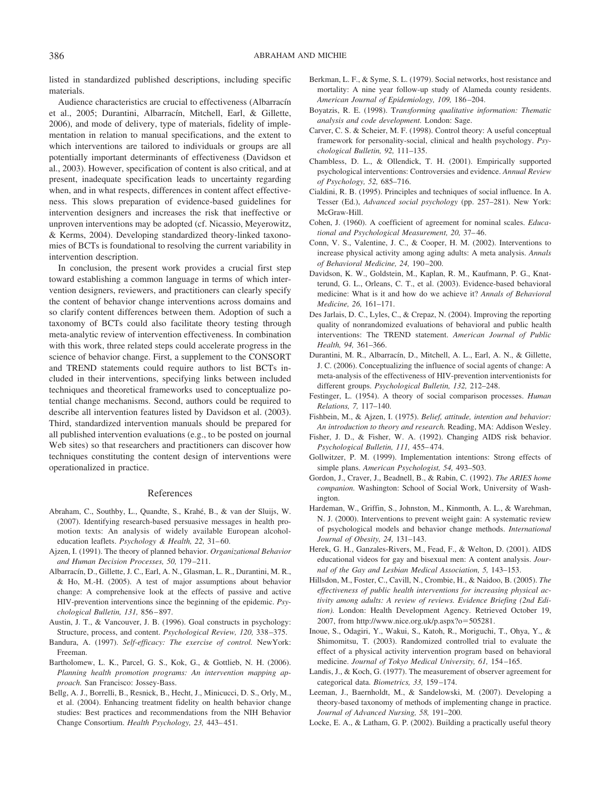listed in standardized published descriptions, including specific materials.

Audience characteristics are crucial to effectiveness (Albarracín et al., 2005; Durantini, Albarracín, Mitchell, Earl, & Gillette, 2006), and mode of delivery, type of materials, fidelity of implementation in relation to manual specifications, and the extent to which interventions are tailored to individuals or groups are all potentially important determinants of effectiveness (Davidson et al., 2003). However, specification of content is also critical, and at present, inadequate specification leads to uncertainty regarding when, and in what respects, differences in content affect effectiveness. This slows preparation of evidence-based guidelines for intervention designers and increases the risk that ineffective or unproven interventions may be adopted (cf. Nicassio, Meyerowitz, & Kerms, 2004). Developing standardized theory-linked taxonomies of BCTs is foundational to resolving the current variability in intervention description.

In conclusion, the present work provides a crucial first step toward establishing a common language in terms of which intervention designers, reviewers, and practitioners can clearly specify the content of behavior change interventions across domains and so clarify content differences between them. Adoption of such a taxonomy of BCTs could also facilitate theory testing through meta-analytic review of intervention effectiveness. In combination with this work, three related steps could accelerate progress in the science of behavior change. First, a supplement to the CONSORT and TREND statements could require authors to list BCTs included in their interventions, specifying links between included techniques and theoretical frameworks used to conceptualize potential change mechanisms. Second, authors could be required to describe all intervention features listed by Davidson et al. (2003). Third, standardized intervention manuals should be prepared for all published intervention evaluations (e.g., to be posted on journal Web sites) so that researchers and practitioners can discover how techniques constituting the content design of interventions were operationalized in practice.

#### References

- Abraham, C., Southby, L., Quandte, S., Krahé, B., & van der Sluijs, W. (2007). Identifying research-based persuasive messages in health promotion texts: An analysis of widely available European alcoholeducation leaflets. *Psychology & Health*, 22, 31-60.
- Ajzen, I. (1991). The theory of planned behavior. *Organizational Behavior and Human Decision Processes, 50,* 179 –211.
- Albarracín, D., Gillette, J. C., Earl, A. N., Glasman, L. R., Durantini, M. R., & Ho, M.-H. (2005). A test of major assumptions about behavior change: A comprehensive look at the effects of passive and active HIV-prevention interventions since the beginning of the epidemic. *Psychological Bulletin, 131,* 856 – 897.
- Austin, J. T., & Vancouver, J. B. (1996). Goal constructs in psychology: Structure, process, and content. *Psychological Review, 120,* 338 –375.
- Bandura, A. (1997). *Self-efficacy: The exercise of control.* NewYork: Freeman.
- Bartholomew, L. K., Parcel, G. S., Kok, G., & Gottlieb, N. H. (2006). *Planning health promotion programs: An intervention mapping approach.* San Francisco: Jossey-Bass.
- Bellg, A. J., Borrelli, B., Resnick, B., Hecht, J., Minicucci, D. S., Orly, M., et al. (2004). Enhancing treatment fidelity on health behavior change studies: Best practices and recommendations from the NIH Behavior Change Consortium. *Health Psychology, 23,* 443– 451.
- Berkman, L. F., & Syme, S. L. (1979). Social networks, host resistance and mortality: A nine year follow-up study of Alameda county residents. *American Journal of Epidemiology, 109,* 186 –204.
- Boyatzis, R. E. (1998). T*ransforming qualitative information: Thematic analysis and code development.* London: Sage.
- Carver, C. S. & Scheier, M. F. (1998). Control theory: A useful conceptual framework for personality-social, clinical and health psychology. *Psychological Bulletin, 92,* 111–135.
- Chambless, D. L., & Ollendick, T. H. (2001). Empirically supported psychological interventions: Controversies and evidence. *Annual Review of Psychology, 52,* 685–716.
- Cialdini, R. B. (1995). Principles and techniques of social influence. In A. Tesser (Ed.), *Advanced social psychology* (pp. 257–281). New York: McGraw-Hill.
- Cohen, J. (1960). A coefficient of agreement for nominal scales. *Educational and Psychological Measurement, 20,* 37– 46.
- Conn, V. S., Valentine, J. C., & Cooper, H. M. (2002). Interventions to increase physical activity among aging adults: A meta analysis. *Annals of Behavioral Medicine, 24,* 190 –200.
- Davidson, K. W., Goldstein, M., Kaplan, R. M., Kaufmann, P. G., Knatterund, G. L., Orleans, C. T., et al. (2003). Evidence-based behavioral medicine: What is it and how do we achieve it? *Annals of Behavioral Medicine, 26,* 161–171.
- Des Jarlais, D. C., Lyles, C., & Crepaz, N. (2004). Improving the reporting quality of nonrandomized evaluations of behavioral and public health interventions: The TREND statement. *American Journal of Public Health, 94,* 361–366.
- Durantini, M. R., Albarracín, D., Mitchell, A. L., Earl, A. N., & Gillette, J. C. (2006). Conceptualizing the influence of social agents of change: A meta-analysis of the effectiveness of HIV-prevention interventionists for different groups. *Psychological Bulletin, 132,* 212–248.
- Festinger, L. (1954). A theory of social comparison processes. *Human Relations, 7,* 117–140.
- Fishbein, M., & Ajzen, I. (1975). *Belief, attitude, intention and behavior: An introduction to theory and research.* Reading, MA: Addison Wesley.
- Fisher, J. D., & Fisher, W. A. (1992). Changing AIDS risk behavior. *Psychological Bulletin, 111,* 455– 474.
- Gollwitzer, P. M. (1999). Implementation intentions: Strong effects of simple plans. *American Psychologist, 54,* 493–503.
- Gordon, J., Craver, J., Beadnell, B., & Rabin, C. (1992). *The ARIES home companion.* Washington: School of Social Work, University of Washington.
- Hardeman, W., Griffin, S., Johnston, M., Kinmonth, A. L., & Warehman, N. J. (2000). Interventions to prevent weight gain: A systematic review of psychological models and behavior change methods. *International Journal of Obesity, 24,* 131–143.
- Herek, G. H., Ganzales-Rivers, M., Fead, F., & Welton, D. (2001). AIDS educational videos for gay and bisexual men: A content analysis. *Journal of the Gay and Lesbian Medical Association, 5,* 143–153.
- Hillsdon, M., Foster, C., Cavill, N., Crombie, H., & Naidoo, B. (2005). *The effectiveness of public health interventions for increasing physical activity among adults: A review of reviews. Evidence Briefing (2nd Edition).* London: Health Development Agency. Retrieved October 19, 2007, from http://www.nice.org.uk/p.aspx?o=505281.
- Inoue, S., Odagiri, Y., Wakui, S., Katoh, R., Moriguchi, T., Ohya, Y., & Shimomitsu, T. (2003). Randomized controlled trial to evaluate the effect of a physical activity intervention program based on behavioral medicine. *Journal of Tokyo Medical University, 61,* 154 –165.
- Landis, J., & Koch, G. (1977). The measurement of observer agreement for categorical data. *Biometrics, 33,* 159 –174.
- Leeman, J., Baernholdt, M., & Sandelowski, M. (2007). Developing a theory-based taxonomy of methods of implementing change in practice. *Journal of Advanced Nursing, 58,* 191–200.
- Locke, E. A., & Latham, G. P. (2002). Building a practically useful theory